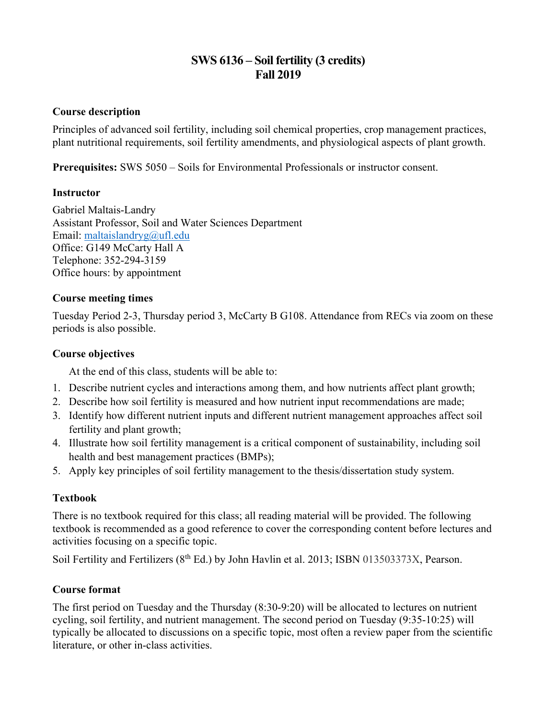# **SWS 6136 – Soil fertility (3 credits) Fall 2019**

## **Course description**

Principles of advanced soil fertility, including soil chemical properties, crop management practices, plant nutritional requirements, soil fertility amendments, and physiological aspects of plant growth.

**Prerequisites:** SWS 5050 – Soils for Environmental Professionals or instructor consent.

## **Instructor**

Gabriel Maltais-Landry Assistant Professor, Soil and Water Sciences Department Email: maltaislandryg@ufl.edu Office: G149 McCarty Hall A Telephone: 352-294-3159 Office hours: by appointment

## **Course meeting times**

Tuesday Period 2-3, Thursday period 3, McCarty B G108. Attendance from RECs via zoom on these periods is also possible.

## **Course objectives**

At the end of this class, students will be able to:

- 1. Describe nutrient cycles and interactions among them, and how nutrients affect plant growth;
- 2. Describe how soil fertility is measured and how nutrient input recommendations are made;
- 3. Identify how different nutrient inputs and different nutrient management approaches affect soil fertility and plant growth;
- 4. Illustrate how soil fertility management is a critical component of sustainability, including soil health and best management practices (BMPs);
- 5. Apply key principles of soil fertility management to the thesis/dissertation study system.

## **Textbook**

There is no textbook required for this class; all reading material will be provided. The following textbook is recommended as a good reference to cover the corresponding content before lectures and activities focusing on a specific topic.

Soil Fertility and Fertilizers (8<sup>th</sup> Ed.) by John Havlin et al. 2013; ISBN 013503373X, Pearson.

## **Course format**

The first period on Tuesday and the Thursday (8:30-9:20) will be allocated to lectures on nutrient cycling, soil fertility, and nutrient management. The second period on Tuesday (9:35-10:25) will typically be allocated to discussions on a specific topic, most often a review paper from the scientific literature, or other in-class activities.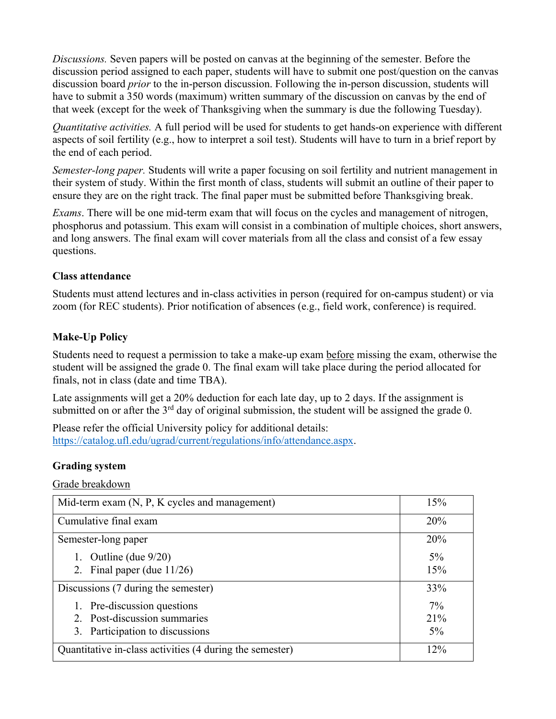*Discussions.* Seven papers will be posted on canvas at the beginning of the semester. Before the discussion period assigned to each paper, students will have to submit one post/question on the canvas discussion board *prior* to the in-person discussion. Following the in-person discussion, students will have to submit a 350 words (maximum) written summary of the discussion on canvas by the end of that week (except for the week of Thanksgiving when the summary is due the following Tuesday).

*Quantitative activities.* A full period will be used for students to get hands-on experience with different aspects of soil fertility (e.g., how to interpret a soil test). Students will have to turn in a brief report by the end of each period.

*Semester-long paper.* Students will write a paper focusing on soil fertility and nutrient management in their system of study. Within the first month of class, students will submit an outline of their paper to ensure they are on the right track. The final paper must be submitted before Thanksgiving break.

*Exams*. There will be one mid-term exam that will focus on the cycles and management of nitrogen, phosphorus and potassium. This exam will consist in a combination of multiple choices, short answers, and long answers. The final exam will cover materials from all the class and consist of a few essay questions.

## **Class attendance**

Students must attend lectures and in-class activities in person (required for on-campus student) or via zoom (for REC students). Prior notification of absences (e.g., field work, conference) is required.

## **Make-Up Policy**

Students need to request a permission to take a make-up exam before missing the exam, otherwise the student will be assigned the grade 0. The final exam will take place during the period allocated for finals, not in class (date and time TBA).

Late assignments will get a 20% deduction for each late day, up to 2 days. If the assignment is submitted on or after the  $3<sup>rd</sup>$  day of original submission, the student will be assigned the grade 0.

Please refer the official University policy for additional details: https://catalog.ufl.edu/ugrad/current/regulations/info/attendance.aspx.

## **Grading system**

Grade breakdown

| Mid-term exam (N, P, K cycles and management)            | 15%   |
|----------------------------------------------------------|-------|
| Cumulative final exam                                    | 20%   |
| Semester-long paper                                      | 20%   |
| Outline (due 9/20)                                       | $5\%$ |
| 2. Final paper (due $11/26$ )                            | 15%   |
| Discussions (7 during the semester)                      | 33%   |
| 1. Pre-discussion questions                              | $7\%$ |
| 2. Post-discussion summaries                             | 21%   |
| 3. Participation to discussions                          | $5\%$ |
| Quantitative in-class activities (4 during the semester) | 12%   |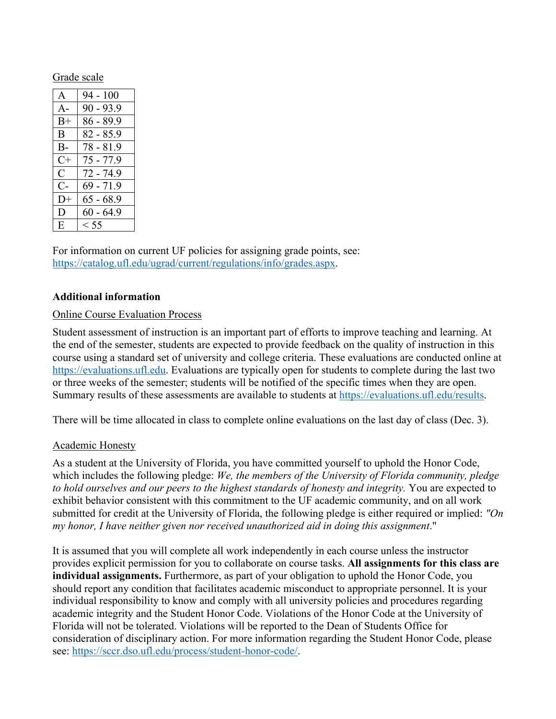#### Grade scale

| A     | $94 - 100$  |
|-------|-------------|
| $A -$ | $90 - 93.9$ |
| $B+$  | $86 - 89.9$ |
| B.    | $82 - 85.9$ |
| $B -$ | 78 - 81.9   |
| $C+$  | $75 - 77.9$ |
| C     | $72 - 74.9$ |
| C-    | 69 - 71.9   |
| $D+$  | $65 - 68.9$ |
| Ð     | $60 - 64.9$ |
| E     | $<$ 55      |

For information on current UF policies for assigning grade points, see: https://catalog.ufl.edu/ugrad/current/regulations/info/grades.aspx.

#### **Additional information**

#### Online Course Evaluation Process

Student assessment of instruction is an important part of efforts to improve teaching and learning. At the end of the semester, students are expected to provide feedback on the quality of instruction in this course using a standard set of university and college criteria. These evaluations are conducted online at https://evaluations.ufl.edu. Evaluations are typically open for students to complete during the last two or three weeks of the semester; students will be notified of the specific times when they are open. Summary results of these assessments are available to students at https://evaluations.ufl.edu/results.

There will be time allocated in class to complete online evaluations on the last day of class (Dec. 3).

## Academic Honesty

As a student at the University of Florida, you have committed yourself to uphold the Honor Code, which includes the following pledge: *We, the members of the University of Florida community, pledge to hold ourselves and our peers to the highest standards of honesty and integrity.* You are expected to exhibit behavior consistent with this commitment to the UF academic community, and on all work submitted for credit at the University of Florida, the following pledge is either required or implied: *"On my honor, I have neither given nor received unauthorized aid in doing this assignment*."

It is assumed that you will complete all work independently in each course unless the instructor provides explicit permission for you to collaborate on course tasks. **All assignments for this class are individual assignments.** Furthermore, as part of your obligation to uphold the Honor Code, you should report any condition that facilitates academic misconduct to appropriate personnel. It is your individual responsibility to know and comply with all university policies and procedures regarding academic integrity and the Student Honor Code. Violations of the Honor Code at the University of Florida will not be tolerated. Violations will be reported to the Dean of Students Office for consideration of disciplinary action. For more information regarding the Student Honor Code, please see: https://sccr.dso.ufl.edu/process/student-honor-code/.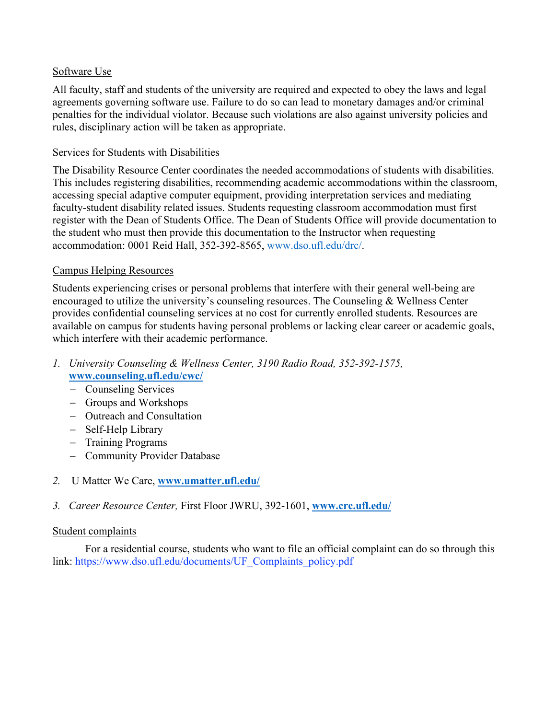## Software Use

All faculty, staff and students of the university are required and expected to obey the laws and legal agreements governing software use. Failure to do so can lead to monetary damages and/or criminal penalties for the individual violator. Because such violations are also against university policies and rules, disciplinary action will be taken as appropriate.

## Services for Students with Disabilities

The Disability Resource Center coordinates the needed accommodations of students with disabilities. This includes registering disabilities, recommending academic accommodations within the classroom, accessing special adaptive computer equipment, providing interpretation services and mediating faculty-student disability related issues. Students requesting classroom accommodation must first register with the Dean of Students Office. The Dean of Students Office will provide documentation to the student who must then provide this documentation to the Instructor when requesting accommodation: 0001 Reid Hall, 352-392-8565, www.dso.ufl.edu/drc/.

## Campus Helping Resources

Students experiencing crises or personal problems that interfere with their general well-being are encouraged to utilize the university's counseling resources. The Counseling & Wellness Center provides confidential counseling services at no cost for currently enrolled students. Resources are available on campus for students having personal problems or lacking clear career or academic goals, which interfere with their academic performance.

- *1. University Counseling & Wellness Center, 3190 Radio Road, 352-392-1575,*  **www.counseling.ufl.edu/cwc/**
	- Counseling Services
	- Groups and Workshops
	- Outreach and Consultation
	- Self-Help Library
	- Training Programs
	- Community Provider Database
- *2.* U Matter We Care, **www.umatter.ufl.edu/**
- *3. Career Resource Center,* First Floor JWRU, 392-1601, **www.crc.ufl.edu/**

## Student complaints

For a residential course, students who want to file an official complaint can do so through this link: https://www.dso.ufl.edu/documents/UF\_Complaints\_policy.pdf